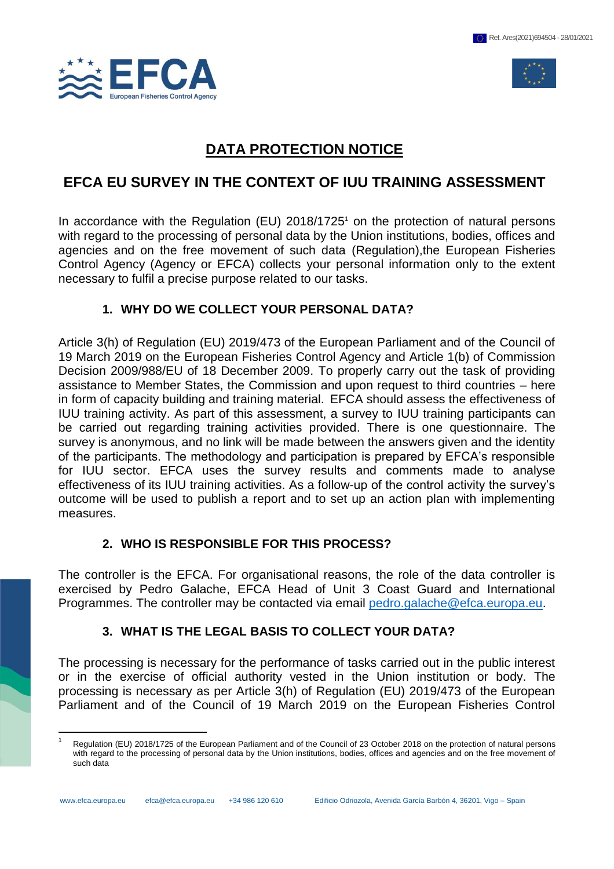



# **DATA PROTECTION NOTICE**

## **EFCA EU SURVEY IN THE CONTEXT OF IUU TRAINING ASSESSMENT**

In accordance with the Regulation (EU)  $2018/1725$ <sup>1</sup> on the protection of natural persons with regard to the processing of personal data by the Union institutions, bodies, offices and agencies and on the free movement of such data (Regulation),the European Fisheries Control Agency (Agency or EFCA) collects your personal information only to the extent necessary to fulfil a precise purpose related to our tasks.

## **1. WHY DO WE COLLECT YOUR PERSONAL DATA?**

Article 3(h) of Regulation (EU) 2019/473 of the European Parliament and of the Council of 19 March 2019 on the European Fisheries Control Agency and Article 1(b) of Commission Decision 2009/988/EU of 18 December 2009. To properly carry out the task of providing assistance to Member States, the Commission and upon request to third countries – here in form of capacity building and training material. EFCA should assess the effectiveness of IUU training activity. As part of this assessment, a survey to IUU training participants can be carried out regarding training activities provided. There is one questionnaire. The survey is anonymous, and no link will be made between the answers given and the identity of the participants. The methodology and participation is prepared by EFCA's responsible for IUU sector. EFCA uses the survey results and comments made to analyse effectiveness of its IUU training activities. As a follow-up of the control activity the survey's outcome will be used to publish a report and to set up an action plan with implementing measures.

## **2. WHO IS RESPONSIBLE FOR THIS PROCESS?**

The controller is the EFCA. For organisational reasons, the role of the data controller is exercised by Pedro Galache, EFCA Head of Unit 3 Coast Guard and International Programmes. The controller may be contacted via email [pedro.galache@efca.europa.eu.](mailto:pedro.galache@efca.europa.eu)

## **3. WHAT IS THE LEGAL BASIS TO COLLECT YOUR DATA?**

The processing is necessary for the performance of tasks carried out in the public interest or in the exercise of official authority vested in the Union institution or body. The processing is necessary as per Article 3(h) of Regulation (EU) 2019/473 of the European Parliament and of the Council of 19 March 2019 on the European Fisheries Control

 $\overline{a}$ 1 Regulation (EU) 2018/1725 of the European Parliament and of the Council of 23 October 2018 on the protection of natural persons with regard to the processing of personal data by the Union institutions, bodies, offices and agencies and on the free movement of such data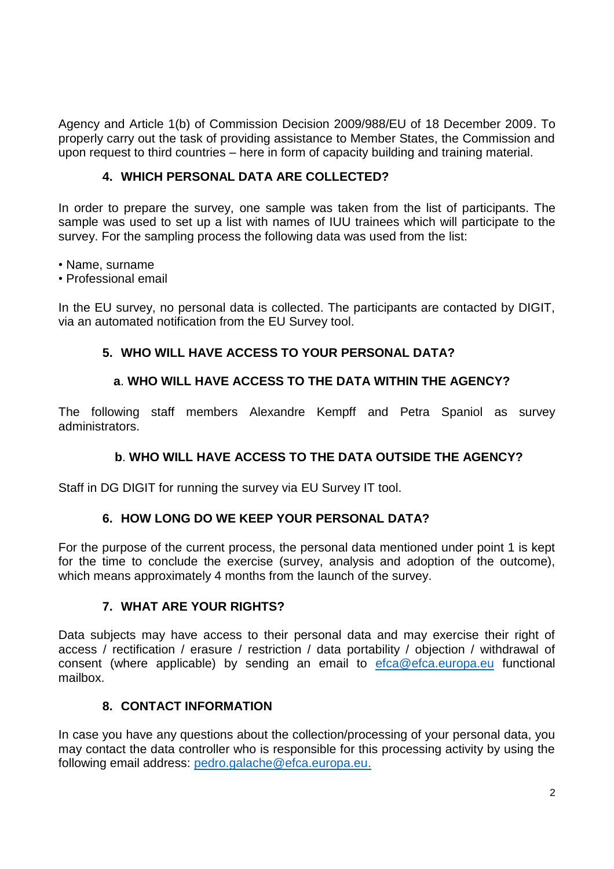Agency and Article 1(b) of Commission Decision 2009/988/EU of 18 December 2009. To properly carry out the task of providing assistance to Member States, the Commission and upon request to third countries – here in form of capacity building and training material.

### **4. WHICH PERSONAL DATA ARE COLLECTED?**

In order to prepare the survey, one sample was taken from the list of participants. The sample was used to set up a list with names of IUU trainees which will participate to the survey. For the sampling process the following data was used from the list:

• Name, surname

• Professional email

In the EU survey, no personal data is collected. The participants are contacted by DIGIT, via an automated notification from the EU Survey tool.

#### **5. WHO WILL HAVE ACCESS TO YOUR PERSONAL DATA?**

#### **a**. **WHO WILL HAVE ACCESS TO THE DATA WITHIN THE AGENCY?**

The following staff members Alexandre Kempff and Petra Spaniol as survey administrators.

## **b**. **WHO WILL HAVE ACCESS TO THE DATA OUTSIDE THE AGENCY?**

Staff in DG DIGIT for running the survey via EU Survey IT tool.

## **6. HOW LONG DO WE KEEP YOUR PERSONAL DATA?**

For the purpose of the current process, the personal data mentioned under point 1 is kept for the time to conclude the exercise (survey, analysis and adoption of the outcome), which means approximately 4 months from the launch of the survey.

#### **7. WHAT ARE YOUR RIGHTS?**

Data subjects may have access to their personal data and may exercise their right of access / rectification / erasure / restriction / data portability / objection / withdrawal of consent (where applicable) by sending an email to [efca@efca.europa.eu](mailto:efca@efca.europa.eu) functional mailbox.

## **8. CONTACT INFORMATION**

In case you have any questions about the collection/processing of your personal data, you may contact the data controller who is responsible for this processing activity by using the following email address: [pedro.galache@efca.europa.eu.](mailto:pedro.galache@efca.europa.eu)